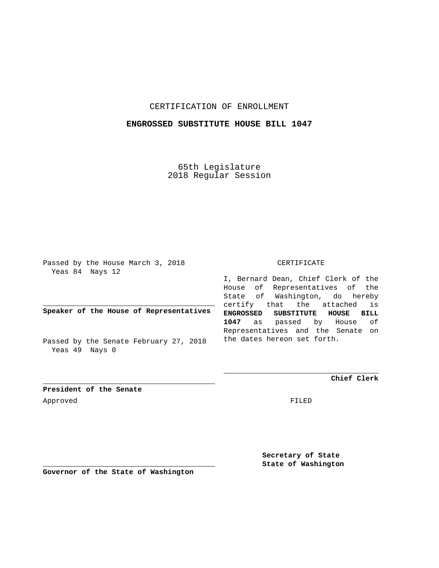## CERTIFICATION OF ENROLLMENT

### **ENGROSSED SUBSTITUTE HOUSE BILL 1047**

65th Legislature 2018 Regular Session

Passed by the House March 3, 2018 Yeas 84 Nays 12

**Speaker of the House of Representatives**

Passed by the Senate February 27, 2018 Yeas 49 Nays 0

#### CERTIFICATE

I, Bernard Dean, Chief Clerk of the House of Representatives of the State of Washington, do hereby certify that the attached is **ENGROSSED SUBSTITUTE HOUSE BILL 1047** as passed by House of Representatives and the Senate on the dates hereon set forth.

**Chief Clerk**

**President of the Senate** Approved FILED

**Secretary of State State of Washington**

**Governor of the State of Washington**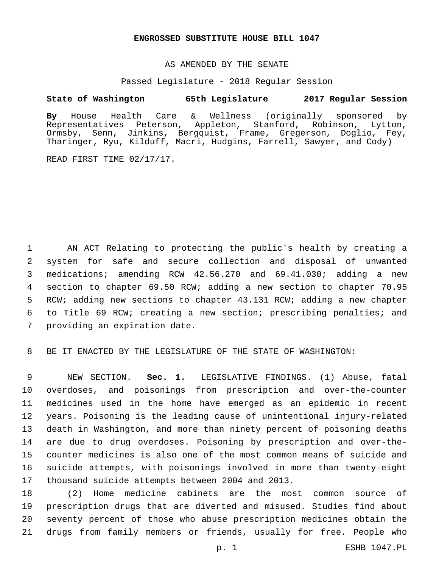#### **ENGROSSED SUBSTITUTE HOUSE BILL 1047**

AS AMENDED BY THE SENATE

Passed Legislature - 2018 Regular Session

# **State of Washington 65th Legislature 2017 Regular Session**

**By** House Health Care & Wellness (originally sponsored by Representatives Peterson, Appleton, Stanford, Robinson, Lytton, Ormsby, Senn, Jinkins, Bergquist, Frame, Gregerson, Doglio, Fey, Tharinger, Ryu, Kilduff, Macri, Hudgins, Farrell, Sawyer, and Cody)

READ FIRST TIME 02/17/17.

 AN ACT Relating to protecting the public's health by creating a system for safe and secure collection and disposal of unwanted medications; amending RCW 42.56.270 and 69.41.030; adding a new section to chapter 69.50 RCW; adding a new section to chapter 70.95 RCW; adding new sections to chapter 43.131 RCW; adding a new chapter to Title 69 RCW; creating a new section; prescribing penalties; and 7 providing an expiration date.

BE IT ENACTED BY THE LEGISLATURE OF THE STATE OF WASHINGTON:

 NEW SECTION. **Sec. 1.** LEGISLATIVE FINDINGS. (1) Abuse, fatal overdoses, and poisonings from prescription and over-the-counter medicines used in the home have emerged as an epidemic in recent years. Poisoning is the leading cause of unintentional injury-related death in Washington, and more than ninety percent of poisoning deaths are due to drug overdoses. Poisoning by prescription and over-the- counter medicines is also one of the most common means of suicide and suicide attempts, with poisonings involved in more than twenty-eight thousand suicide attempts between 2004 and 2013.

 (2) Home medicine cabinets are the most common source of prescription drugs that are diverted and misused. Studies find about seventy percent of those who abuse prescription medicines obtain the drugs from family members or friends, usually for free. People who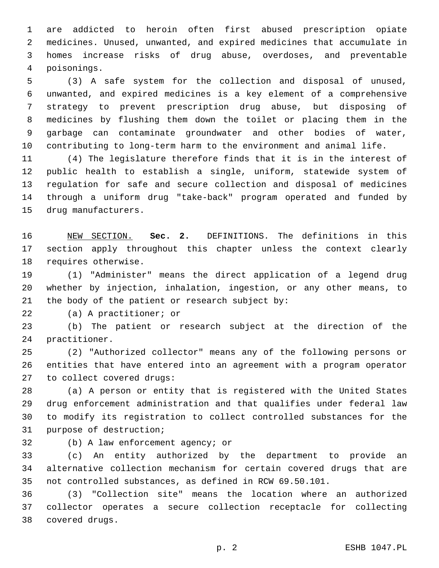are addicted to heroin often first abused prescription opiate medicines. Unused, unwanted, and expired medicines that accumulate in homes increase risks of drug abuse, overdoses, and preventable poisonings.4

 (3) A safe system for the collection and disposal of unused, unwanted, and expired medicines is a key element of a comprehensive strategy to prevent prescription drug abuse, but disposing of medicines by flushing them down the toilet or placing them in the garbage can contaminate groundwater and other bodies of water, contributing to long-term harm to the environment and animal life.

 (4) The legislature therefore finds that it is in the interest of public health to establish a single, uniform, statewide system of regulation for safe and secure collection and disposal of medicines through a uniform drug "take-back" program operated and funded by 15 drug manufacturers.

 NEW SECTION. **Sec. 2.** DEFINITIONS. The definitions in this section apply throughout this chapter unless the context clearly requires otherwise.

 (1) "Administer" means the direct application of a legend drug whether by injection, inhalation, ingestion, or any other means, to 21 the body of the patient or research subject by:

22 (a) A practitioner; or

 (b) The patient or research subject at the direction of the 24 practitioner.

 (2) "Authorized collector" means any of the following persons or entities that have entered into an agreement with a program operator 27 to collect covered drugs:

 (a) A person or entity that is registered with the United States drug enforcement administration and that qualifies under federal law to modify its registration to collect controlled substances for the 31 purpose of destruction;

32 (b) A law enforcement agency; or

 (c) An entity authorized by the department to provide an alternative collection mechanism for certain covered drugs that are not controlled substances, as defined in RCW 69.50.101.

 (3) "Collection site" means the location where an authorized collector operates a secure collection receptacle for collecting covered drugs.38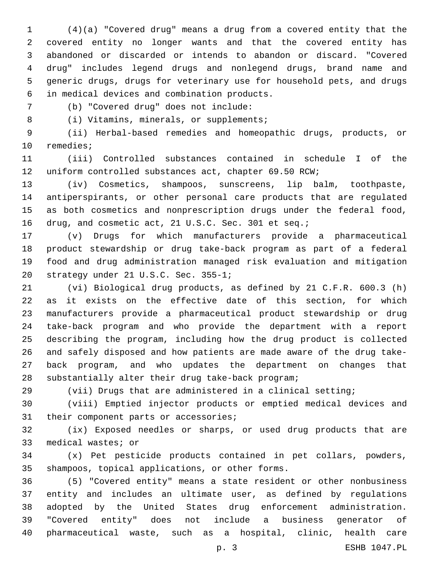(4)(a) "Covered drug" means a drug from a covered entity that the covered entity no longer wants and that the covered entity has abandoned or discarded or intends to abandon or discard. "Covered drug" includes legend drugs and nonlegend drugs, brand name and generic drugs, drugs for veterinary use for household pets, and drugs in medical devices and combination products.6

(b) "Covered drug" does not include:7

8 (i) Vitamins, minerals, or supplements;

 (ii) Herbal-based remedies and homeopathic drugs, products, or 10 remedies;

 (iii) Controlled substances contained in schedule I of the uniform controlled substances act, chapter 69.50 RCW;

 (iv) Cosmetics, shampoos, sunscreens, lip balm, toothpaste, antiperspirants, or other personal care products that are regulated as both cosmetics and nonprescription drugs under the federal food, 16 drug, and cosmetic act, 21 U.S.C. Sec. 301 et seq.;

 (v) Drugs for which manufacturers provide a pharmaceutical product stewardship or drug take-back program as part of a federal food and drug administration managed risk evaluation and mitigation 20 strategy under 21 U.S.C. Sec. 355-1;

 (vi) Biological drug products, as defined by 21 C.F.R. 600.3 (h) as it exists on the effective date of this section, for which manufacturers provide a pharmaceutical product stewardship or drug take-back program and who provide the department with a report describing the program, including how the drug product is collected and safely disposed and how patients are made aware of the drug take- back program, and who updates the department on changes that 28 substantially alter their drug take-back program;

(vii) Drugs that are administered in a clinical setting;

 (viii) Emptied injector products or emptied medical devices and 31 their component parts or accessories;

 (ix) Exposed needles or sharps, or used drug products that are 33 medical wastes; or

 (x) Pet pesticide products contained in pet collars, powders, 35 shampoos, topical applications, or other forms.

 (5) "Covered entity" means a state resident or other nonbusiness entity and includes an ultimate user, as defined by regulations adopted by the United States drug enforcement administration. "Covered entity" does not include a business generator of pharmaceutical waste, such as a hospital, clinic, health care

p. 3 ESHB 1047.PL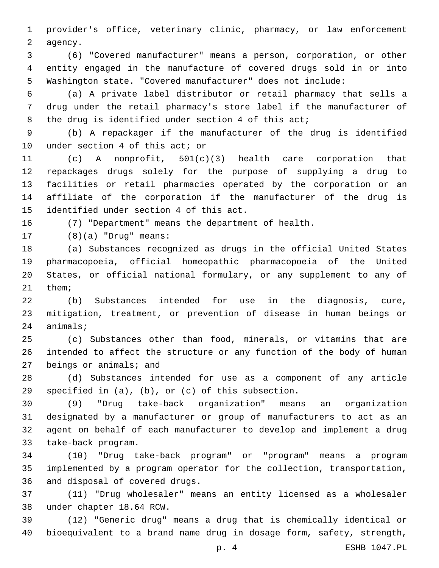provider's office, veterinary clinic, pharmacy, or law enforcement 2 agency.

 (6) "Covered manufacturer" means a person, corporation, or other entity engaged in the manufacture of covered drugs sold in or into Washington state. "Covered manufacturer" does not include:

 (a) A private label distributor or retail pharmacy that sells a drug under the retail pharmacy's store label if the manufacturer of the drug is identified under section 4 of this act;

 (b) A repackager if the manufacturer of the drug is identified 10 under section 4 of this act; or

 (c) A nonprofit, 501(c)(3) health care corporation that repackages drugs solely for the purpose of supplying a drug to facilities or retail pharmacies operated by the corporation or an affiliate of the corporation if the manufacturer of the drug is 15 identified under section 4 of this act.

(7) "Department" means the department of health.

(8)(a) "Drug" means:17

 (a) Substances recognized as drugs in the official United States pharmacopoeia, official homeopathic pharmacopoeia of the United States, or official national formulary, or any supplement to any of 21 them;

 (b) Substances intended for use in the diagnosis, cure, mitigation, treatment, or prevention of disease in human beings or 24 animals;

 (c) Substances other than food, minerals, or vitamins that are intended to affect the structure or any function of the body of human beings or animals; and

 (d) Substances intended for use as a component of any article 39 specified in  $(a)$ ,  $(b)$ , or  $(c)$  of this subsection.

 (9) "Drug take-back organization" means an organization designated by a manufacturer or group of manufacturers to act as an agent on behalf of each manufacturer to develop and implement a drug 33 take-back program.

 (10) "Drug take-back program" or "program" means a program implemented by a program operator for the collection, transportation, 36 and disposal of covered drugs.

 (11) "Drug wholesaler" means an entity licensed as a wholesaler 38 under chapter 18.64 RCW.

 (12) "Generic drug" means a drug that is chemically identical or bioequivalent to a brand name drug in dosage form, safety, strength,

p. 4 ESHB 1047.PL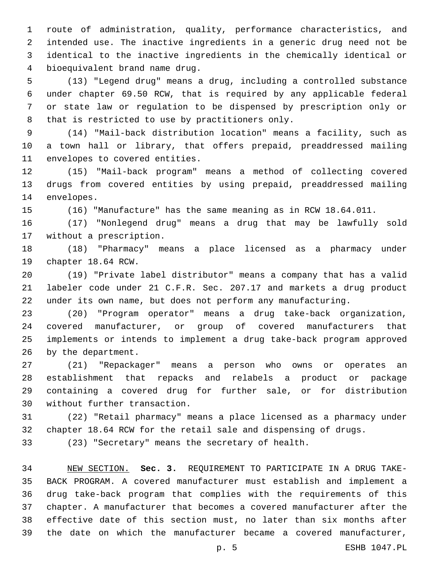route of administration, quality, performance characteristics, and intended use. The inactive ingredients in a generic drug need not be identical to the inactive ingredients in the chemically identical or bioequivalent brand name drug.4

 (13) "Legend drug" means a drug, including a controlled substance under chapter 69.50 RCW, that is required by any applicable federal or state law or regulation to be dispensed by prescription only or 8 that is restricted to use by practitioners only.

 (14) "Mail-back distribution location" means a facility, such as a town hall or library, that offers prepaid, preaddressed mailing 11 envelopes to covered entities.

 (15) "Mail-back program" means a method of collecting covered drugs from covered entities by using prepaid, preaddressed mailing 14 envelopes.

(16) "Manufacture" has the same meaning as in RCW 18.64.011.

 (17) "Nonlegend drug" means a drug that may be lawfully sold 17 without a prescription.

 (18) "Pharmacy" means a place licensed as a pharmacy under 19 chapter 18.64 RCW.

 (19) "Private label distributor" means a company that has a valid labeler code under 21 C.F.R. Sec. 207.17 and markets a drug product under its own name, but does not perform any manufacturing.

 (20) "Program operator" means a drug take-back organization, covered manufacturer, or group of covered manufacturers that implements or intends to implement a drug take-back program approved 26 by the department.

 (21) "Repackager" means a person who owns or operates an establishment that repacks and relabels a product or package containing a covered drug for further sale, or for distribution 30 without further transaction.

 (22) "Retail pharmacy" means a place licensed as a pharmacy under chapter 18.64 RCW for the retail sale and dispensing of drugs.

(23) "Secretary" means the secretary of health.

 NEW SECTION. **Sec. 3.** REQUIREMENT TO PARTICIPATE IN A DRUG TAKE- BACK PROGRAM. A covered manufacturer must establish and implement a drug take-back program that complies with the requirements of this chapter. A manufacturer that becomes a covered manufacturer after the effective date of this section must, no later than six months after the date on which the manufacturer became a covered manufacturer,

p. 5 ESHB 1047.PL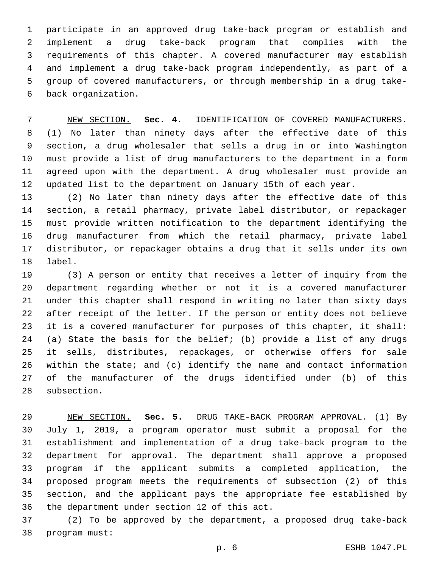participate in an approved drug take-back program or establish and implement a drug take-back program that complies with the requirements of this chapter. A covered manufacturer may establish and implement a drug take-back program independently, as part of a group of covered manufacturers, or through membership in a drug takeback organization.6

 NEW SECTION. **Sec. 4.** IDENTIFICATION OF COVERED MANUFACTURERS. (1) No later than ninety days after the effective date of this section, a drug wholesaler that sells a drug in or into Washington must provide a list of drug manufacturers to the department in a form agreed upon with the department. A drug wholesaler must provide an updated list to the department on January 15th of each year.

 (2) No later than ninety days after the effective date of this section, a retail pharmacy, private label distributor, or repackager must provide written notification to the department identifying the drug manufacturer from which the retail pharmacy, private label distributor, or repackager obtains a drug that it sells under its own 18 label.

 (3) A person or entity that receives a letter of inquiry from the department regarding whether or not it is a covered manufacturer under this chapter shall respond in writing no later than sixty days after receipt of the letter. If the person or entity does not believe it is a covered manufacturer for purposes of this chapter, it shall: (a) State the basis for the belief; (b) provide a list of any drugs it sells, distributes, repackages, or otherwise offers for sale within the state; and (c) identify the name and contact information of the manufacturer of the drugs identified under (b) of this 28 subsection.

 NEW SECTION. **Sec. 5.** DRUG TAKE-BACK PROGRAM APPROVAL. (1) By July 1, 2019, a program operator must submit a proposal for the establishment and implementation of a drug take-back program to the department for approval. The department shall approve a proposed program if the applicant submits a completed application, the proposed program meets the requirements of subsection (2) of this section, and the applicant pays the appropriate fee established by the department under section 12 of this act.

 (2) To be approved by the department, a proposed drug take-back 38 program must: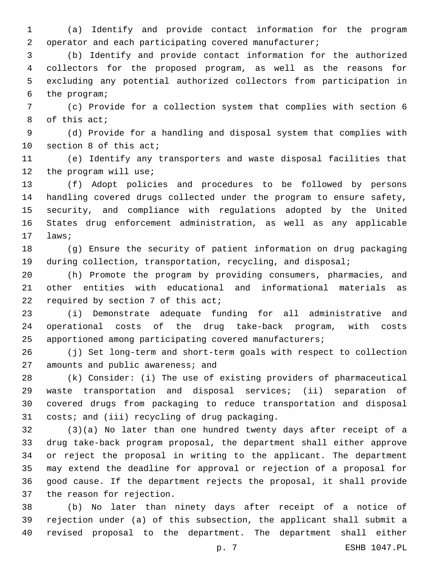(a) Identify and provide contact information for the program operator and each participating covered manufacturer;

 (b) Identify and provide contact information for the authorized collectors for the proposed program, as well as the reasons for excluding any potential authorized collectors from participation in 6 the program;

 (c) Provide for a collection system that complies with section 6 8 of this act;

 (d) Provide for a handling and disposal system that complies with 10 section 8 of this act;

 (e) Identify any transporters and waste disposal facilities that 12 the program will use;

 (f) Adopt policies and procedures to be followed by persons handling covered drugs collected under the program to ensure safety, security, and compliance with regulations adopted by the United States drug enforcement administration, as well as any applicable 17 laws;

 (g) Ensure the security of patient information on drug packaging during collection, transportation, recycling, and disposal;

 (h) Promote the program by providing consumers, pharmacies, and other entities with educational and informational materials as 22 required by section of this act;

 (i) Demonstrate adequate funding for all administrative and operational costs of the drug take-back program, with costs apportioned among participating covered manufacturers;

 (j) Set long-term and short-term goals with respect to collection 27 amounts and public awareness; and

 (k) Consider: (i) The use of existing providers of pharmaceutical waste transportation and disposal services; (ii) separation of covered drugs from packaging to reduce transportation and disposal 31 costs; and (iii) recycling of drug packaging.

 (3)(a) No later than one hundred twenty days after receipt of a drug take-back program proposal, the department shall either approve or reject the proposal in writing to the applicant. The department may extend the deadline for approval or rejection of a proposal for good cause. If the department rejects the proposal, it shall provide 37 the reason for rejection.

 (b) No later than ninety days after receipt of a notice of rejection under (a) of this subsection, the applicant shall submit a revised proposal to the department. The department shall either

p. 7 ESHB 1047.PL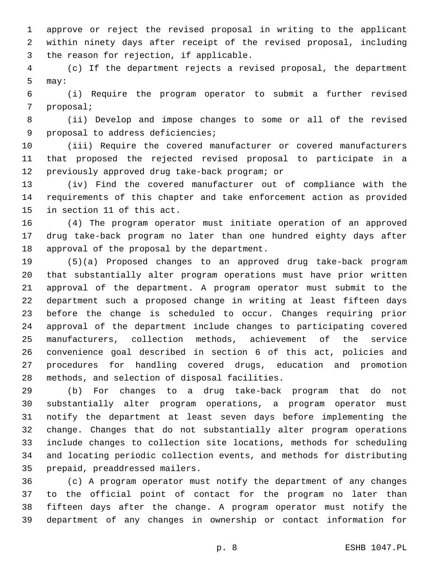approve or reject the revised proposal in writing to the applicant within ninety days after receipt of the revised proposal, including 3 the reason for rejection, if applicable.

 (c) If the department rejects a revised proposal, the department 5 may:

 (i) Require the program operator to submit a further revised 7 proposal;

 (ii) Develop and impose changes to some or all of the revised 9 proposal to address deficiencies;

 (iii) Require the covered manufacturer or covered manufacturers that proposed the rejected revised proposal to participate in a 12 previously approved drug take-back program; or

 (iv) Find the covered manufacturer out of compliance with the requirements of this chapter and take enforcement action as provided 15 in section 11 of this act.

 (4) The program operator must initiate operation of an approved drug take-back program no later than one hundred eighty days after 18 approval of the proposal by the department.

 (5)(a) Proposed changes to an approved drug take-back program that substantially alter program operations must have prior written approval of the department. A program operator must submit to the department such a proposed change in writing at least fifteen days before the change is scheduled to occur. Changes requiring prior approval of the department include changes to participating covered manufacturers, collection methods, achievement of the service convenience goal described in section 6 of this act, policies and procedures for handling covered drugs, education and promotion 28 methods, and selection of disposal facilities.

 (b) For changes to a drug take-back program that do not substantially alter program operations, a program operator must notify the department at least seven days before implementing the change. Changes that do not substantially alter program operations include changes to collection site locations, methods for scheduling and locating periodic collection events, and methods for distributing 35 prepaid, preaddressed mailers.

 (c) A program operator must notify the department of any changes to the official point of contact for the program no later than fifteen days after the change. A program operator must notify the department of any changes in ownership or contact information for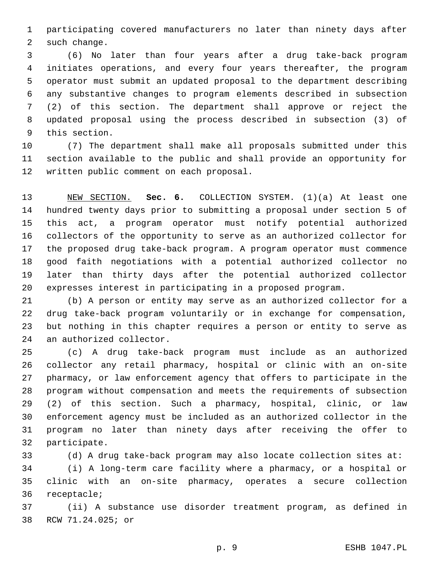participating covered manufacturers no later than ninety days after 2 such change.

 (6) No later than four years after a drug take-back program initiates operations, and every four years thereafter, the program operator must submit an updated proposal to the department describing any substantive changes to program elements described in subsection (2) of this section. The department shall approve or reject the updated proposal using the process described in subsection (3) of 9 this section.

 (7) The department shall make all proposals submitted under this section available to the public and shall provide an opportunity for 12 written public comment on each proposal.

 NEW SECTION. **Sec. 6.** COLLECTION SYSTEM. (1)(a) At least one hundred twenty days prior to submitting a proposal under section 5 of this act, a program operator must notify potential authorized collectors of the opportunity to serve as an authorized collector for the proposed drug take-back program. A program operator must commence good faith negotiations with a potential authorized collector no later than thirty days after the potential authorized collector expresses interest in participating in a proposed program.

 (b) A person or entity may serve as an authorized collector for a drug take-back program voluntarily or in exchange for compensation, but nothing in this chapter requires a person or entity to serve as 24 an authorized collector.

 (c) A drug take-back program must include as an authorized collector any retail pharmacy, hospital or clinic with an on-site pharmacy, or law enforcement agency that offers to participate in the program without compensation and meets the requirements of subsection (2) of this section. Such a pharmacy, hospital, clinic, or law enforcement agency must be included as an authorized collector in the program no later than ninety days after receiving the offer to 32 participate.

 (d) A drug take-back program may also locate collection sites at: (i) A long-term care facility where a pharmacy, or a hospital or clinic with an on-site pharmacy, operates a secure collection 36 receptacle;

 (ii) A substance use disorder treatment program, as defined in 38 RCW 71.24.025; or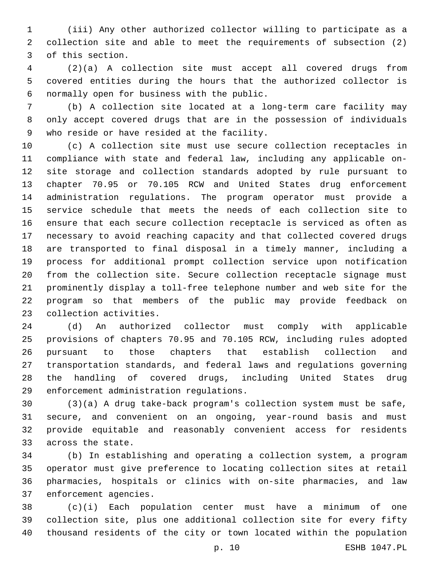(iii) Any other authorized collector willing to participate as a collection site and able to meet the requirements of subsection (2) 3 of this section.

 (2)(a) A collection site must accept all covered drugs from covered entities during the hours that the authorized collector is normally open for business with the public.6

 (b) A collection site located at a long-term care facility may only accept covered drugs that are in the possession of individuals 9 who reside or have resided at the facility.

 (c) A collection site must use secure collection receptacles in compliance with state and federal law, including any applicable on- site storage and collection standards adopted by rule pursuant to chapter 70.95 or 70.105 RCW and United States drug enforcement administration regulations. The program operator must provide a service schedule that meets the needs of each collection site to ensure that each secure collection receptacle is serviced as often as necessary to avoid reaching capacity and that collected covered drugs are transported to final disposal in a timely manner, including a process for additional prompt collection service upon notification from the collection site. Secure collection receptacle signage must prominently display a toll-free telephone number and web site for the program so that members of the public may provide feedback on 23 collection activities.

 (d) An authorized collector must comply with applicable provisions of chapters 70.95 and 70.105 RCW, including rules adopted pursuant to those chapters that establish collection and transportation standards, and federal laws and regulations governing the handling of covered drugs, including United States drug 29 enforcement administration regulations.

 (3)(a) A drug take-back program's collection system must be safe, secure, and convenient on an ongoing, year-round basis and must provide equitable and reasonably convenient access for residents 33 across the state.

 (b) In establishing and operating a collection system, a program operator must give preference to locating collection sites at retail pharmacies, hospitals or clinics with on-site pharmacies, and law 37 enforcement agencies.

 (c)(i) Each population center must have a minimum of one collection site, plus one additional collection site for every fifty thousand residents of the city or town located within the population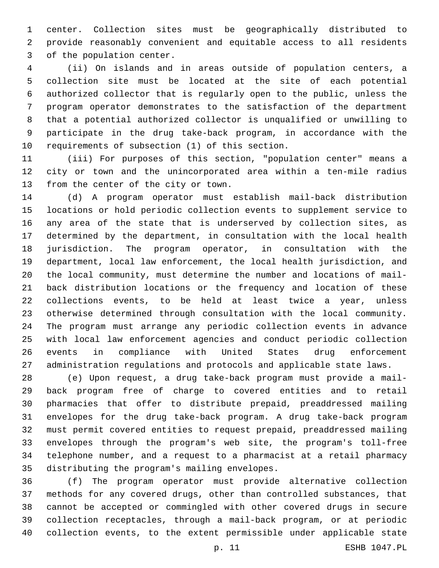center. Collection sites must be geographically distributed to provide reasonably convenient and equitable access to all residents 3 of the population center.

 (ii) On islands and in areas outside of population centers, a collection site must be located at the site of each potential authorized collector that is regularly open to the public, unless the program operator demonstrates to the satisfaction of the department that a potential authorized collector is unqualified or unwilling to participate in the drug take-back program, in accordance with the 10 requirements of subsection (1) of this section.

 (iii) For purposes of this section, "population center" means a city or town and the unincorporated area within a ten-mile radius 13 from the center of the city or town.

 (d) A program operator must establish mail-back distribution locations or hold periodic collection events to supplement service to any area of the state that is underserved by collection sites, as determined by the department, in consultation with the local health jurisdiction. The program operator, in consultation with the department, local law enforcement, the local health jurisdiction, and the local community, must determine the number and locations of mail- back distribution locations or the frequency and location of these collections events, to be held at least twice a year, unless otherwise determined through consultation with the local community. The program must arrange any periodic collection events in advance with local law enforcement agencies and conduct periodic collection events in compliance with United States drug enforcement administration regulations and protocols and applicable state laws.

 (e) Upon request, a drug take-back program must provide a mail- back program free of charge to covered entities and to retail pharmacies that offer to distribute prepaid, preaddressed mailing envelopes for the drug take-back program. A drug take-back program must permit covered entities to request prepaid, preaddressed mailing envelopes through the program's web site, the program's toll-free telephone number, and a request to a pharmacist at a retail pharmacy 35 distributing the program's mailing envelopes.

 (f) The program operator must provide alternative collection methods for any covered drugs, other than controlled substances, that cannot be accepted or commingled with other covered drugs in secure collection receptacles, through a mail-back program, or at periodic collection events, to the extent permissible under applicable state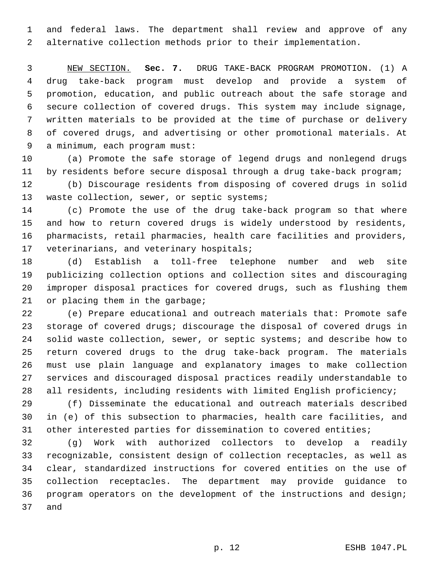and federal laws. The department shall review and approve of any alternative collection methods prior to their implementation.

 NEW SECTION. **Sec. 7.** DRUG TAKE-BACK PROGRAM PROMOTION. (1) A drug take-back program must develop and provide a system of promotion, education, and public outreach about the safe storage and secure collection of covered drugs. This system may include signage, written materials to be provided at the time of purchase or delivery of covered drugs, and advertising or other promotional materials. At a minimum, each program must:

 (a) Promote the safe storage of legend drugs and nonlegend drugs by residents before secure disposal through a drug take-back program;

 (b) Discourage residents from disposing of covered drugs in solid 13 waste collection, sewer, or septic systems;

 (c) Promote the use of the drug take-back program so that where and how to return covered drugs is widely understood by residents, pharmacists, retail pharmacies, health care facilities and providers, 17 veterinarians, and veterinary hospitals;

 (d) Establish a toll-free telephone number and web site publicizing collection options and collection sites and discouraging improper disposal practices for covered drugs, such as flushing them 21 or placing them in the garbage;

 (e) Prepare educational and outreach materials that: Promote safe storage of covered drugs; discourage the disposal of covered drugs in solid waste collection, sewer, or septic systems; and describe how to return covered drugs to the drug take-back program. The materials must use plain language and explanatory images to make collection services and discouraged disposal practices readily understandable to all residents, including residents with limited English proficiency;

 (f) Disseminate the educational and outreach materials described in (e) of this subsection to pharmacies, health care facilities, and other interested parties for dissemination to covered entities;

 (g) Work with authorized collectors to develop a readily recognizable, consistent design of collection receptacles, as well as clear, standardized instructions for covered entities on the use of collection receptacles. The department may provide guidance to program operators on the development of the instructions and design; 37 and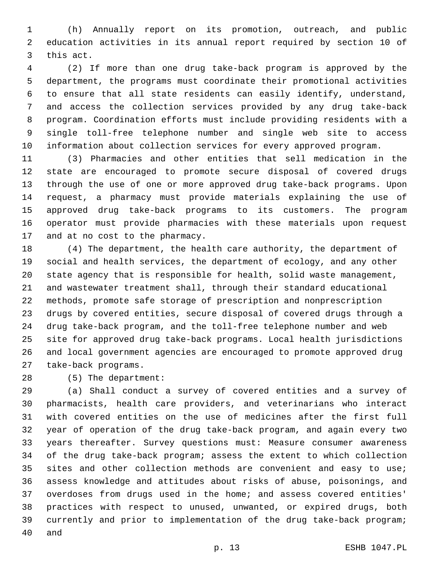(h) Annually report on its promotion, outreach, and public education activities in its annual report required by section 10 of 3 this act.

 (2) If more than one drug take-back program is approved by the department, the programs must coordinate their promotional activities to ensure that all state residents can easily identify, understand, and access the collection services provided by any drug take-back program. Coordination efforts must include providing residents with a single toll-free telephone number and single web site to access information about collection services for every approved program.

 (3) Pharmacies and other entities that sell medication in the state are encouraged to promote secure disposal of covered drugs through the use of one or more approved drug take-back programs. Upon request, a pharmacy must provide materials explaining the use of approved drug take-back programs to its customers. The program operator must provide pharmacies with these materials upon request 17 and at no cost to the pharmacy.

 (4) The department, the health care authority, the department of social and health services, the department of ecology, and any other state agency that is responsible for health, solid waste management, and wastewater treatment shall, through their standard educational methods, promote safe storage of prescription and nonprescription drugs by covered entities, secure disposal of covered drugs through a drug take-back program, and the toll-free telephone number and web site for approved drug take-back programs. Local health jurisdictions and local government agencies are encouraged to promote approved drug 27 take-back programs.

28 (5) The department:

 (a) Shall conduct a survey of covered entities and a survey of pharmacists, health care providers, and veterinarians who interact with covered entities on the use of medicines after the first full year of operation of the drug take-back program, and again every two years thereafter. Survey questions must: Measure consumer awareness of the drug take-back program; assess the extent to which collection 35 sites and other collection methods are convenient and easy to use; assess knowledge and attitudes about risks of abuse, poisonings, and overdoses from drugs used in the home; and assess covered entities' practices with respect to unused, unwanted, or expired drugs, both currently and prior to implementation of the drug take-back program; 40 and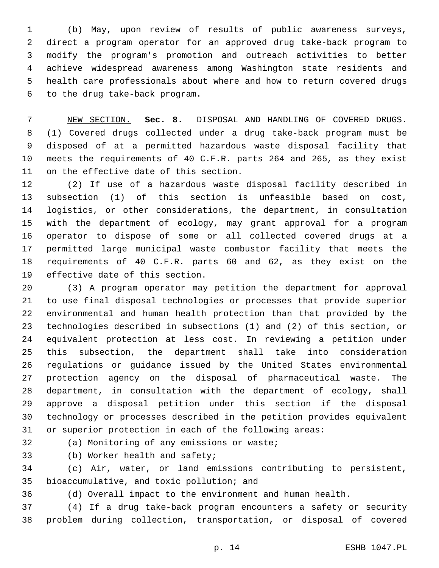(b) May, upon review of results of public awareness surveys, direct a program operator for an approved drug take-back program to modify the program's promotion and outreach activities to better achieve widespread awareness among Washington state residents and health care professionals about where and how to return covered drugs 6 to the drug take-back program.

 NEW SECTION. **Sec. 8.** DISPOSAL AND HANDLING OF COVERED DRUGS. (1) Covered drugs collected under a drug take-back program must be disposed of at a permitted hazardous waste disposal facility that meets the requirements of 40 C.F.R. parts 264 and 265, as they exist on the effective date of this section.

 (2) If use of a hazardous waste disposal facility described in subsection (1) of this section is unfeasible based on cost, logistics, or other considerations, the department, in consultation with the department of ecology, may grant approval for a program operator to dispose of some or all collected covered drugs at a permitted large municipal waste combustor facility that meets the requirements of 40 C.F.R. parts 60 and 62, as they exist on the 19 effective date of this section.

 (3) A program operator may petition the department for approval to use final disposal technologies or processes that provide superior environmental and human health protection than that provided by the technologies described in subsections (1) and (2) of this section, or equivalent protection at less cost. In reviewing a petition under this subsection, the department shall take into consideration regulations or guidance issued by the United States environmental protection agency on the disposal of pharmaceutical waste. The department, in consultation with the department of ecology, shall approve a disposal petition under this section if the disposal technology or processes described in the petition provides equivalent or superior protection in each of the following areas:

32 (a) Monitoring of any emissions or waste;

33 (b) Worker health and safety;

 (c) Air, water, or land emissions contributing to persistent, 35 bioaccumulative, and toxic pollution; and

(d) Overall impact to the environment and human health.

 (4) If a drug take-back program encounters a safety or security problem during collection, transportation, or disposal of covered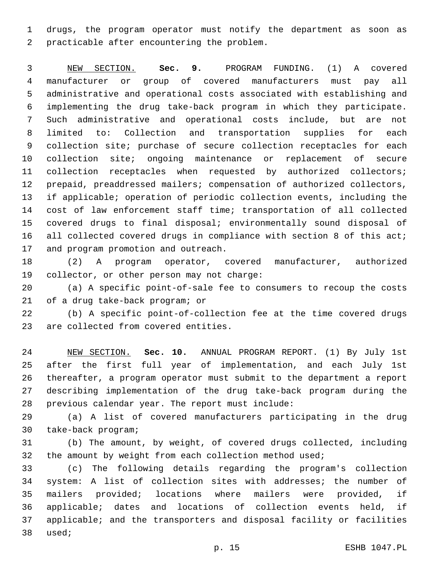drugs, the program operator must notify the department as soon as 2 practicable after encountering the problem.

 NEW SECTION. **Sec. 9.** PROGRAM FUNDING. (1) A covered manufacturer or group of covered manufacturers must pay all administrative and operational costs associated with establishing and implementing the drug take-back program in which they participate. Such administrative and operational costs include, but are not limited to: Collection and transportation supplies for each 9 collection site; purchase of secure collection receptacles for each collection site; ongoing maintenance or replacement of secure collection receptacles when requested by authorized collectors; prepaid, preaddressed mailers; compensation of authorized collectors, if applicable; operation of periodic collection events, including the cost of law enforcement staff time; transportation of all collected covered drugs to final disposal; environmentally sound disposal of 16 all collected covered drugs in compliance with section 8 of this act; and program promotion and outreach.

 (2) A program operator, covered manufacturer, authorized 19 collector, or other person may not charge:

 (a) A specific point-of-sale fee to consumers to recoup the costs 21 of a drug take-back program; or

 (b) A specific point-of-collection fee at the time covered drugs 23 are collected from covered entities.

 NEW SECTION. **Sec. 10.** ANNUAL PROGRAM REPORT. (1) By July 1st after the first full year of implementation, and each July 1st thereafter, a program operator must submit to the department a report describing implementation of the drug take-back program during the previous calendar year. The report must include:

 (a) A list of covered manufacturers participating in the drug 30 take-back program;

 (b) The amount, by weight, of covered drugs collected, including 32 the amount by weight from each collection method used;

 (c) The following details regarding the program's collection system: A list of collection sites with addresses; the number of mailers provided; locations where mailers were provided, if applicable; dates and locations of collection events held, if applicable; and the transporters and disposal facility or facilities 38 used;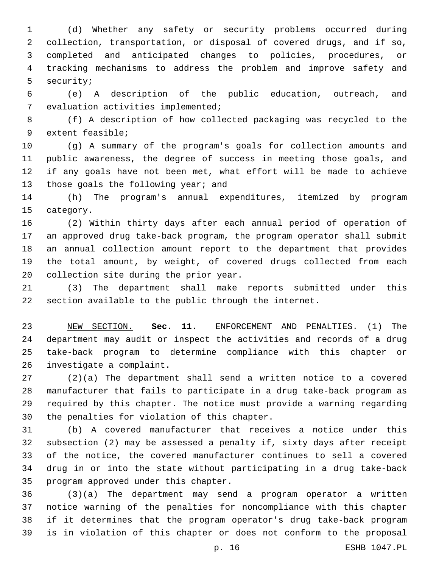(d) Whether any safety or security problems occurred during collection, transportation, or disposal of covered drugs, and if so, completed and anticipated changes to policies, procedures, or tracking mechanisms to address the problem and improve safety and 5 security;

 (e) A description of the public education, outreach, and 7 evaluation activities implemented;

 (f) A description of how collected packaging was recycled to the 9 extent feasible;

 (g) A summary of the program's goals for collection amounts and public awareness, the degree of success in meeting those goals, and if any goals have not been met, what effort will be made to achieve 13 those goals the following year; and

 (h) The program's annual expenditures, itemized by program 15 category.

 (2) Within thirty days after each annual period of operation of an approved drug take-back program, the program operator shall submit an annual collection amount report to the department that provides the total amount, by weight, of covered drugs collected from each 20 collection site during the prior year.

 (3) The department shall make reports submitted under this section available to the public through the internet.

 NEW SECTION. **Sec. 11.** ENFORCEMENT AND PENALTIES. (1) The department may audit or inspect the activities and records of a drug take-back program to determine compliance with this chapter or investigate a complaint.

 (2)(a) The department shall send a written notice to a covered manufacturer that fails to participate in a drug take-back program as required by this chapter. The notice must provide a warning regarding 30 the penalties for violation of this chapter.

 (b) A covered manufacturer that receives a notice under this subsection (2) may be assessed a penalty if, sixty days after receipt of the notice, the covered manufacturer continues to sell a covered drug in or into the state without participating in a drug take-back 35 program approved under this chapter.

 (3)(a) The department may send a program operator a written notice warning of the penalties for noncompliance with this chapter if it determines that the program operator's drug take-back program is in violation of this chapter or does not conform to the proposal

p. 16 ESHB 1047.PL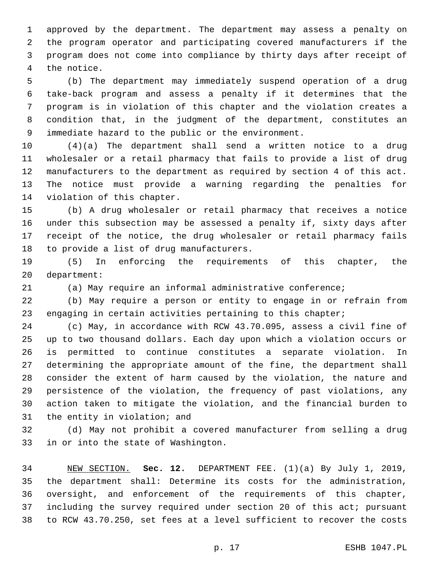approved by the department. The department may assess a penalty on the program operator and participating covered manufacturers if the program does not come into compliance by thirty days after receipt of 4 the notice.

 (b) The department may immediately suspend operation of a drug take-back program and assess a penalty if it determines that the program is in violation of this chapter and the violation creates a condition that, in the judgment of the department, constitutes an 9 immediate hazard to the public or the environment.

 (4)(a) The department shall send a written notice to a drug wholesaler or a retail pharmacy that fails to provide a list of drug manufacturers to the department as required by section 4 of this act. The notice must provide a warning regarding the penalties for 14 violation of this chapter.

 (b) A drug wholesaler or retail pharmacy that receives a notice under this subsection may be assessed a penalty if, sixty days after receipt of the notice, the drug wholesaler or retail pharmacy fails 18 to provide a list of drug manufacturers.

 (5) In enforcing the requirements of this chapter, the 20 department:

(a) May require an informal administrative conference;

 (b) May require a person or entity to engage in or refrain from 23 engaging in certain activities pertaining to this chapter;

 (c) May, in accordance with RCW 43.70.095, assess a civil fine of up to two thousand dollars. Each day upon which a violation occurs or is permitted to continue constitutes a separate violation. In determining the appropriate amount of the fine, the department shall consider the extent of harm caused by the violation, the nature and persistence of the violation, the frequency of past violations, any action taken to mitigate the violation, and the financial burden to 31 the entity in violation; and

 (d) May not prohibit a covered manufacturer from selling a drug 33 in or into the state of Washington.

 NEW SECTION. **Sec. 12.** DEPARTMENT FEE. (1)(a) By July 1, 2019, the department shall: Determine its costs for the administration, oversight, and enforcement of the requirements of this chapter, including the survey required under section 20 of this act; pursuant to RCW 43.70.250, set fees at a level sufficient to recover the costs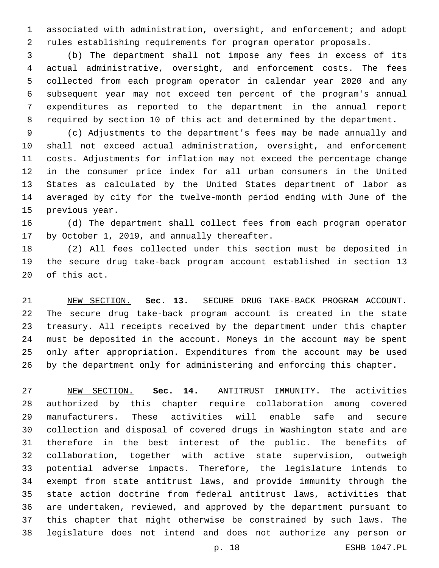associated with administration, oversight, and enforcement; and adopt rules establishing requirements for program operator proposals.

 (b) The department shall not impose any fees in excess of its actual administrative, oversight, and enforcement costs. The fees collected from each program operator in calendar year 2020 and any subsequent year may not exceed ten percent of the program's annual expenditures as reported to the department in the annual report required by section 10 of this act and determined by the department.

 (c) Adjustments to the department's fees may be made annually and shall not exceed actual administration, oversight, and enforcement costs. Adjustments for inflation may not exceed the percentage change in the consumer price index for all urban consumers in the United States as calculated by the United States department of labor as averaged by city for the twelve-month period ending with June of the 15 previous year.

 (d) The department shall collect fees from each program operator 17 by October 1, 2019, and annually thereafter.

 (2) All fees collected under this section must be deposited in the secure drug take-back program account established in section 13 20 of this act.

 NEW SECTION. **Sec. 13.** SECURE DRUG TAKE-BACK PROGRAM ACCOUNT. The secure drug take-back program account is created in the state treasury. All receipts received by the department under this chapter must be deposited in the account. Moneys in the account may be spent only after appropriation. Expenditures from the account may be used by the department only for administering and enforcing this chapter.

 NEW SECTION. **Sec. 14.** ANTITRUST IMMUNITY. The activities authorized by this chapter require collaboration among covered manufacturers. These activities will enable safe and secure collection and disposal of covered drugs in Washington state and are therefore in the best interest of the public. The benefits of collaboration, together with active state supervision, outweigh potential adverse impacts. Therefore, the legislature intends to exempt from state antitrust laws, and provide immunity through the state action doctrine from federal antitrust laws, activities that are undertaken, reviewed, and approved by the department pursuant to this chapter that might otherwise be constrained by such laws. The legislature does not intend and does not authorize any person or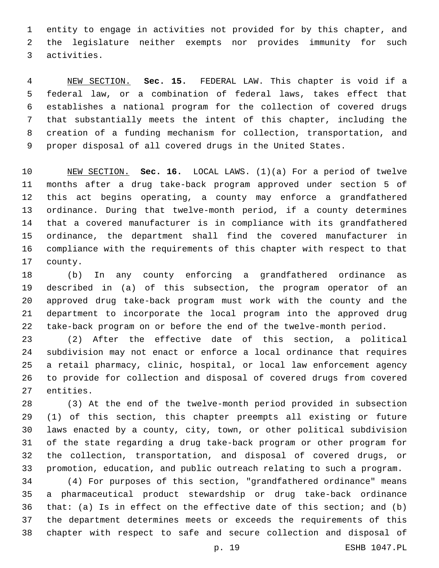entity to engage in activities not provided for by this chapter, and the legislature neither exempts nor provides immunity for such activities.3

 NEW SECTION. **Sec. 15.** FEDERAL LAW. This chapter is void if a federal law, or a combination of federal laws, takes effect that establishes a national program for the collection of covered drugs that substantially meets the intent of this chapter, including the creation of a funding mechanism for collection, transportation, and proper disposal of all covered drugs in the United States.

 NEW SECTION. **Sec. 16.** LOCAL LAWS. (1)(a) For a period of twelve months after a drug take-back program approved under section 5 of this act begins operating, a county may enforce a grandfathered ordinance. During that twelve-month period, if a county determines that a covered manufacturer is in compliance with its grandfathered ordinance, the department shall find the covered manufacturer in compliance with the requirements of this chapter with respect to that county.

 (b) In any county enforcing a grandfathered ordinance as described in (a) of this subsection, the program operator of an approved drug take-back program must work with the county and the department to incorporate the local program into the approved drug take-back program on or before the end of the twelve-month period.

 (2) After the effective date of this section, a political subdivision may not enact or enforce a local ordinance that requires a retail pharmacy, clinic, hospital, or local law enforcement agency to provide for collection and disposal of covered drugs from covered 27 entities.

 (3) At the end of the twelve-month period provided in subsection (1) of this section, this chapter preempts all existing or future laws enacted by a county, city, town, or other political subdivision of the state regarding a drug take-back program or other program for the collection, transportation, and disposal of covered drugs, or promotion, education, and public outreach relating to such a program.

 (4) For purposes of this section, "grandfathered ordinance" means a pharmaceutical product stewardship or drug take-back ordinance that: (a) Is in effect on the effective date of this section; and (b) the department determines meets or exceeds the requirements of this chapter with respect to safe and secure collection and disposal of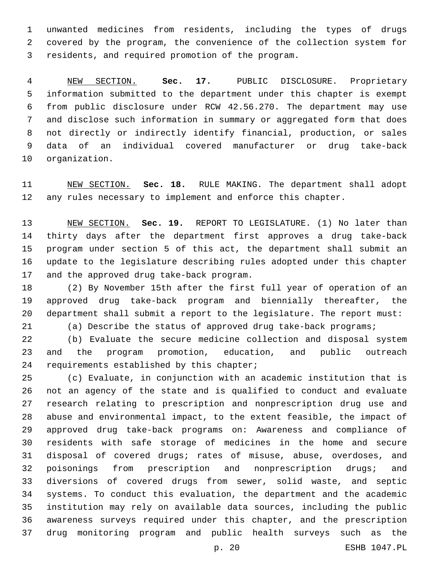unwanted medicines from residents, including the types of drugs covered by the program, the convenience of the collection system for 3 residents, and required promotion of the program.

 NEW SECTION. **Sec. 17.** PUBLIC DISCLOSURE. Proprietary information submitted to the department under this chapter is exempt from public disclosure under RCW 42.56.270. The department may use and disclose such information in summary or aggregated form that does not directly or indirectly identify financial, production, or sales data of an individual covered manufacturer or drug take-back organization.

 NEW SECTION. **Sec. 18.** RULE MAKING. The department shall adopt 12 any rules necessary to implement and enforce this chapter.

 NEW SECTION. **Sec. 19.** REPORT TO LEGISLATURE. (1) No later than thirty days after the department first approves a drug take-back program under section 5 of this act, the department shall submit an update to the legislature describing rules adopted under this chapter and the approved drug take-back program.

 (2) By November 15th after the first full year of operation of an approved drug take-back program and biennially thereafter, the department shall submit a report to the legislature. The report must: (a) Describe the status of approved drug take-back programs;

 (b) Evaluate the secure medicine collection and disposal system and the program promotion, education, and public outreach 24 requirements established by this chapter;

 (c) Evaluate, in conjunction with an academic institution that is not an agency of the state and is qualified to conduct and evaluate research relating to prescription and nonprescription drug use and abuse and environmental impact, to the extent feasible, the impact of approved drug take-back programs on: Awareness and compliance of residents with safe storage of medicines in the home and secure disposal of covered drugs; rates of misuse, abuse, overdoses, and poisonings from prescription and nonprescription drugs; and diversions of covered drugs from sewer, solid waste, and septic systems. To conduct this evaluation, the department and the academic institution may rely on available data sources, including the public awareness surveys required under this chapter, and the prescription drug monitoring program and public health surveys such as the

p. 20 ESHB 1047.PL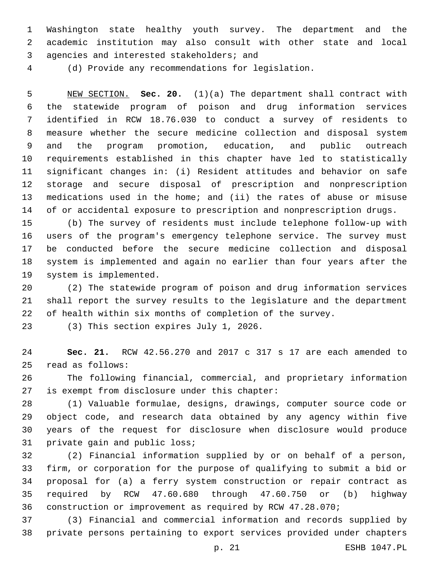Washington state healthy youth survey. The department and the academic institution may also consult with other state and local 3 agencies and interested stakeholders; and

(d) Provide any recommendations for legislation.

 NEW SECTION. **Sec. 20.** (1)(a) The department shall contract with the statewide program of poison and drug information services identified in RCW 18.76.030 to conduct a survey of residents to measure whether the secure medicine collection and disposal system and the program promotion, education, and public outreach requirements established in this chapter have led to statistically significant changes in: (i) Resident attitudes and behavior on safe storage and secure disposal of prescription and nonprescription medications used in the home; and (ii) the rates of abuse or misuse of or accidental exposure to prescription and nonprescription drugs.

 (b) The survey of residents must include telephone follow-up with users of the program's emergency telephone service. The survey must be conducted before the secure medicine collection and disposal system is implemented and again no earlier than four years after the 19 system is implemented.

 (2) The statewide program of poison and drug information services shall report the survey results to the legislature and the department of health within six months of completion of the survey.

23 (3) This section expires July 1, 2026.

 **Sec. 21.** RCW 42.56.270 and 2017 c 317 s 17 are each amended to read as follows:25

 The following financial, commercial, and proprietary information 27 is exempt from disclosure under this chapter:

 (1) Valuable formulae, designs, drawings, computer source code or object code, and research data obtained by any agency within five years of the request for disclosure when disclosure would produce 31 private gain and public loss;

 (2) Financial information supplied by or on behalf of a person, firm, or corporation for the purpose of qualifying to submit a bid or proposal for (a) a ferry system construction or repair contract as required by RCW 47.60.680 through 47.60.750 or (b) highway construction or improvement as required by RCW 47.28.070;

 (3) Financial and commercial information and records supplied by private persons pertaining to export services provided under chapters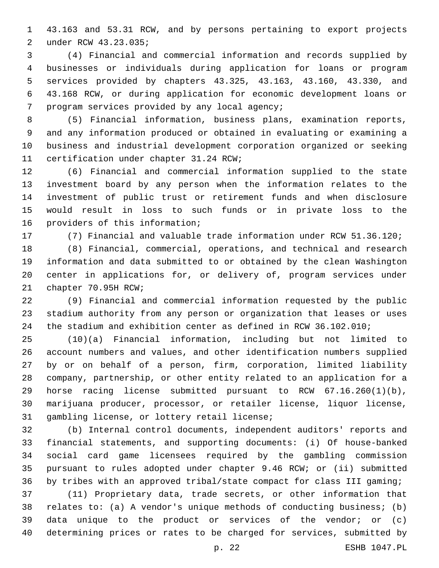43.163 and 53.31 RCW, and by persons pertaining to export projects under RCW 43.23.035;2

 (4) Financial and commercial information and records supplied by businesses or individuals during application for loans or program services provided by chapters 43.325, 43.163, 43.160, 43.330, and 43.168 RCW, or during application for economic development loans or 7 program services provided by any local agency;

 (5) Financial information, business plans, examination reports, and any information produced or obtained in evaluating or examining a business and industrial development corporation organized or seeking 11 certification under chapter 31.24 RCW;

 (6) Financial and commercial information supplied to the state investment board by any person when the information relates to the investment of public trust or retirement funds and when disclosure would result in loss to such funds or in private loss to the 16 providers of this information;

(7) Financial and valuable trade information under RCW 51.36.120;

 (8) Financial, commercial, operations, and technical and research information and data submitted to or obtained by the clean Washington center in applications for, or delivery of, program services under 21 chapter 70.95H RCW;

 (9) Financial and commercial information requested by the public stadium authority from any person or organization that leases or uses the stadium and exhibition center as defined in RCW 36.102.010;

 (10)(a) Financial information, including but not limited to account numbers and values, and other identification numbers supplied by or on behalf of a person, firm, corporation, limited liability company, partnership, or other entity related to an application for a horse racing license submitted pursuant to RCW 67.16.260(1)(b), marijuana producer, processor, or retailer license, liquor license, 31 gambling license, or lottery retail license;

 (b) Internal control documents, independent auditors' reports and financial statements, and supporting documents: (i) Of house-banked social card game licensees required by the gambling commission pursuant to rules adopted under chapter 9.46 RCW; or (ii) submitted by tribes with an approved tribal/state compact for class III gaming;

 (11) Proprietary data, trade secrets, or other information that relates to: (a) A vendor's unique methods of conducting business; (b) data unique to the product or services of the vendor; or (c) determining prices or rates to be charged for services, submitted by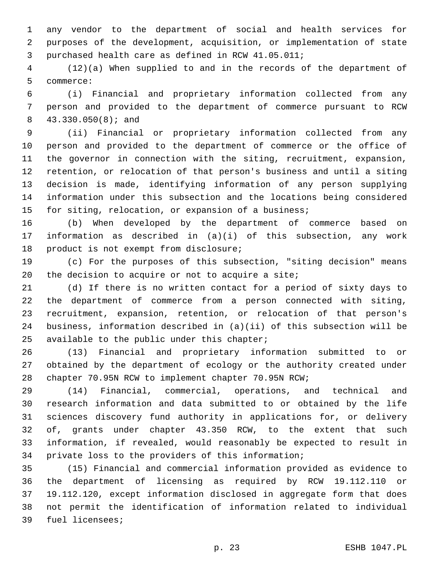any vendor to the department of social and health services for purposes of the development, acquisition, or implementation of state 3 purchased health care as defined in RCW 41.05.011;

 (12)(a) When supplied to and in the records of the department of 5 commerce:

 (i) Financial and proprietary information collected from any person and provided to the department of commerce pursuant to RCW 43.330.050(8); and8

 (ii) Financial or proprietary information collected from any person and provided to the department of commerce or the office of the governor in connection with the siting, recruitment, expansion, retention, or relocation of that person's business and until a siting decision is made, identifying information of any person supplying information under this subsection and the locations being considered for siting, relocation, or expansion of a business;

 (b) When developed by the department of commerce based on information as described in (a)(i) of this subsection, any work 18 product is not exempt from disclosure;

 (c) For the purposes of this subsection, "siting decision" means 20 the decision to acquire or not to acquire a site;

 (d) If there is no written contact for a period of sixty days to the department of commerce from a person connected with siting, recruitment, expansion, retention, or relocation of that person's business, information described in (a)(ii) of this subsection will be 25 available to the public under this chapter;

 (13) Financial and proprietary information submitted to or obtained by the department of ecology or the authority created under chapter 70.95N RCW to implement chapter 70.95N RCW;

 (14) Financial, commercial, operations, and technical and research information and data submitted to or obtained by the life sciences discovery fund authority in applications for, or delivery of, grants under chapter 43.350 RCW, to the extent that such information, if revealed, would reasonably be expected to result in private loss to the providers of this information;

 (15) Financial and commercial information provided as evidence to the department of licensing as required by RCW 19.112.110 or 19.112.120, except information disclosed in aggregate form that does not permit the identification of information related to individual 39 fuel licensees;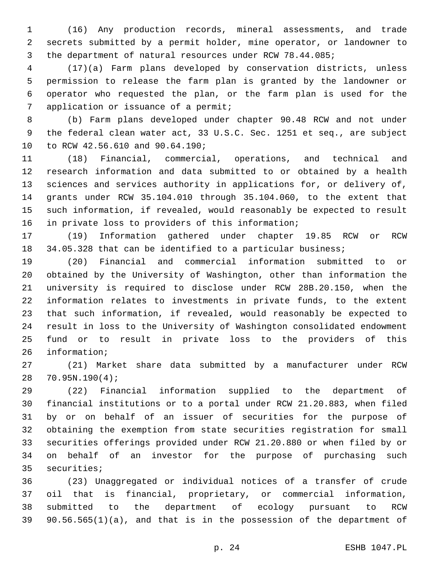(16) Any production records, mineral assessments, and trade secrets submitted by a permit holder, mine operator, or landowner to the department of natural resources under RCW 78.44.085;

 (17)(a) Farm plans developed by conservation districts, unless permission to release the farm plan is granted by the landowner or operator who requested the plan, or the farm plan is used for the 7 application or issuance of a permit;

 (b) Farm plans developed under chapter 90.48 RCW and not under the federal clean water act, 33 U.S.C. Sec. 1251 et seq., are subject 10 to RCW 42.56.610 and 90.64.190;

 (18) Financial, commercial, operations, and technical and research information and data submitted to or obtained by a health sciences and services authority in applications for, or delivery of, grants under RCW 35.104.010 through 35.104.060, to the extent that such information, if revealed, would reasonably be expected to result 16 in private loss to providers of this information;

 (19) Information gathered under chapter 19.85 RCW or RCW 18 34.05.328 that can be identified to a particular business;

 (20) Financial and commercial information submitted to or obtained by the University of Washington, other than information the university is required to disclose under RCW 28B.20.150, when the information relates to investments in private funds, to the extent that such information, if revealed, would reasonably be expected to result in loss to the University of Washington consolidated endowment fund or to result in private loss to the providers of this 26 information;

 (21) Market share data submitted by a manufacturer under RCW 70.95N.190(4);28

 (22) Financial information supplied to the department of financial institutions or to a portal under RCW 21.20.883, when filed by or on behalf of an issuer of securities for the purpose of obtaining the exemption from state securities registration for small securities offerings provided under RCW 21.20.880 or when filed by or on behalf of an investor for the purpose of purchasing such 35 securities;

 (23) Unaggregated or individual notices of a transfer of crude oil that is financial, proprietary, or commercial information, submitted to the department of ecology pursuant to RCW 90.56.565(1)(a), and that is in the possession of the department of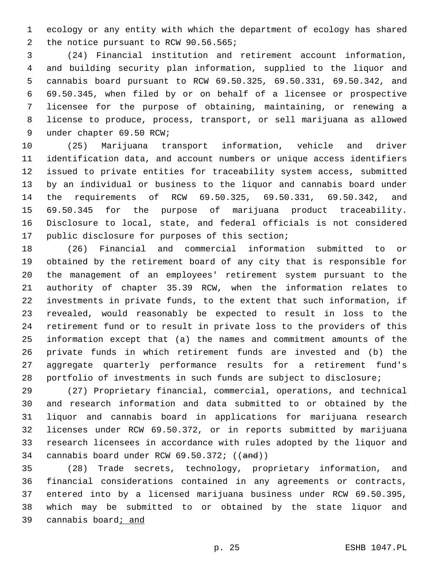ecology or any entity with which the department of ecology has shared 2 the notice pursuant to RCW 90.56.565;

 (24) Financial institution and retirement account information, and building security plan information, supplied to the liquor and cannabis board pursuant to RCW 69.50.325, 69.50.331, 69.50.342, and 69.50.345, when filed by or on behalf of a licensee or prospective licensee for the purpose of obtaining, maintaining, or renewing a license to produce, process, transport, or sell marijuana as allowed 9 under chapter 69.50 RCW;

 (25) Marijuana transport information, vehicle and driver identification data, and account numbers or unique access identifiers issued to private entities for traceability system access, submitted by an individual or business to the liquor and cannabis board under the requirements of RCW 69.50.325, 69.50.331, 69.50.342, and 69.50.345 for the purpose of marijuana product traceability. Disclosure to local, state, and federal officials is not considered 17 public disclosure for purposes of this section;

 (26) Financial and commercial information submitted to or obtained by the retirement board of any city that is responsible for the management of an employees' retirement system pursuant to the authority of chapter 35.39 RCW, when the information relates to investments in private funds, to the extent that such information, if revealed, would reasonably be expected to result in loss to the retirement fund or to result in private loss to the providers of this information except that (a) the names and commitment amounts of the private funds in which retirement funds are invested and (b) the aggregate quarterly performance results for a retirement fund's portfolio of investments in such funds are subject to disclosure;

 (27) Proprietary financial, commercial, operations, and technical and research information and data submitted to or obtained by the liquor and cannabis board in applications for marijuana research licenses under RCW 69.50.372, or in reports submitted by marijuana research licensees in accordance with rules adopted by the liquor and cannabis board under RCW 69.50.372; ((and))

 (28) Trade secrets, technology, proprietary information, and financial considerations contained in any agreements or contracts, entered into by a licensed marijuana business under RCW 69.50.395, which may be submitted to or obtained by the state liquor and 39 cannabis board<sub>i</sub> and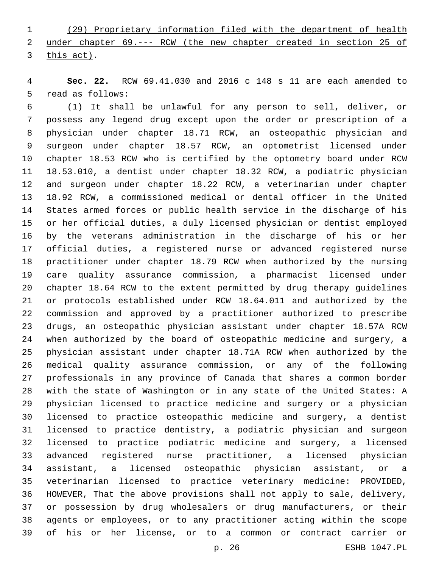(29) Proprietary information filed with the department of health under chapter 69.--- RCW (the new chapter created in section 25 of 3 this act).

 **Sec. 22.** RCW 69.41.030 and 2016 c 148 s 11 are each amended to 5 read as follows:

 (1) It shall be unlawful for any person to sell, deliver, or possess any legend drug except upon the order or prescription of a physician under chapter 18.71 RCW, an osteopathic physician and surgeon under chapter 18.57 RCW, an optometrist licensed under chapter 18.53 RCW who is certified by the optometry board under RCW 18.53.010, a dentist under chapter 18.32 RCW, a podiatric physician and surgeon under chapter 18.22 RCW, a veterinarian under chapter 18.92 RCW, a commissioned medical or dental officer in the United States armed forces or public health service in the discharge of his or her official duties, a duly licensed physician or dentist employed by the veterans administration in the discharge of his or her official duties, a registered nurse or advanced registered nurse practitioner under chapter 18.79 RCW when authorized by the nursing care quality assurance commission, a pharmacist licensed under chapter 18.64 RCW to the extent permitted by drug therapy guidelines or protocols established under RCW 18.64.011 and authorized by the commission and approved by a practitioner authorized to prescribe drugs, an osteopathic physician assistant under chapter 18.57A RCW when authorized by the board of osteopathic medicine and surgery, a physician assistant under chapter 18.71A RCW when authorized by the medical quality assurance commission, or any of the following professionals in any province of Canada that shares a common border with the state of Washington or in any state of the United States: A physician licensed to practice medicine and surgery or a physician licensed to practice osteopathic medicine and surgery, a dentist licensed to practice dentistry, a podiatric physician and surgeon licensed to practice podiatric medicine and surgery, a licensed advanced registered nurse practitioner, a licensed physician assistant, a licensed osteopathic physician assistant, or a veterinarian licensed to practice veterinary medicine: PROVIDED, HOWEVER, That the above provisions shall not apply to sale, delivery, or possession by drug wholesalers or drug manufacturers, or their agents or employees, or to any practitioner acting within the scope of his or her license, or to a common or contract carrier or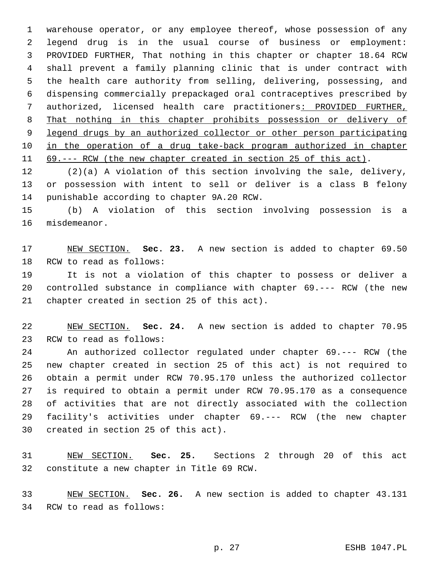warehouse operator, or any employee thereof, whose possession of any legend drug is in the usual course of business or employment: PROVIDED FURTHER, That nothing in this chapter or chapter 18.64 RCW shall prevent a family planning clinic that is under contract with the health care authority from selling, delivering, possessing, and dispensing commercially prepackaged oral contraceptives prescribed by authorized, licensed health care practitioners: PROVIDED FURTHER, That nothing in this chapter prohibits possession or delivery of legend drugs by an authorized collector or other person participating in the operation of a drug take-back program authorized in chapter 69.--- RCW (the new chapter created in section 25 of this act).

 (2)(a) A violation of this section involving the sale, delivery, or possession with intent to sell or deliver is a class B felony 14 punishable according to chapter 9A.20 RCW.

 (b) A violation of this section involving possession is a 16 misdemeanor.

 NEW SECTION. **Sec. 23.** A new section is added to chapter 69.50 18 RCW to read as follows:

 It is not a violation of this chapter to possess or deliver a controlled substance in compliance with chapter 69.--- RCW (the new 21 chapter created in section 25 of this act).

 NEW SECTION. **Sec. 24.** A new section is added to chapter 70.95 23 RCW to read as follows:

 An authorized collector regulated under chapter 69.--- RCW (the new chapter created in section 25 of this act) is not required to obtain a permit under RCW 70.95.170 unless the authorized collector is required to obtain a permit under RCW 70.95.170 as a consequence of activities that are not directly associated with the collection facility's activities under chapter 69.--- RCW (the new chapter 30 created in section 25 of this act).

 NEW SECTION. **Sec. 25.** Sections 2 through 20 of this act constitute a new chapter in Title 69 RCW.

 NEW SECTION. **Sec. 26.** A new section is added to chapter 43.131 34 RCW to read as follows: